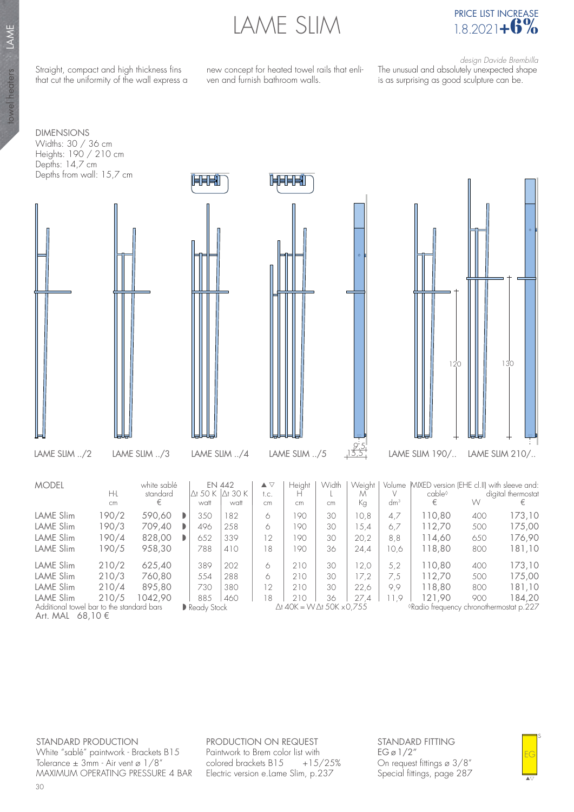LAME SLIM



Straight, compact and high thickness fins that cut the uniformity of the wall express a new concept for heated towel rails that enliven and furnish bathroom walls.

 design Davide Brembilla The unusual and absolutely unexpected shape is as surprising as good sculpture can be.

DIMENSIONS Widths: 30 / 36 cm Heights: 190 / 210 cm Depths: 14,7 cm Depths from wall: 15,7 cm



◊Radio frequency chronothermostat p.227

STANDARD PRODUCTION White "sablé" paintwork - Brackets B15 Tolerance  $\pm$  3mm - Air vent ø 1/8" MAXIMUM OPERATING PRESSURE 4 BAR PRODUCTION ON REQUEST Paintwork to Brem color list with colored brackets B15 +15/25% Electric version e.Lame Slim, p.237

Ready Stock

∆t 40K = W ∆t 50K x 0,755

STANDARD FITTING  $EG \varnothing$  1/2" On request fittings ø 3/8" Special fittings, page 287



Art. MAL 68,10 €